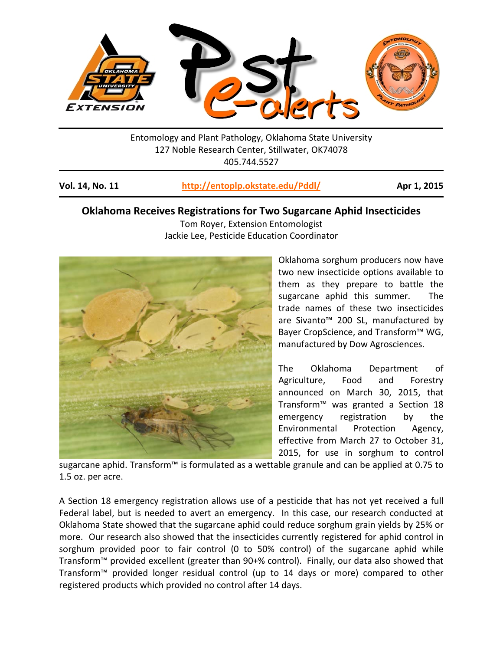

Entomology and Plant Pathology, Oklahoma State University 127 Noble Research Center, Stillwater, OK74078 405.744.5527

| Vol. 14, No. 11 | http://entoplp.okstate.edu/Pddl/ | Apr 1, 2015 |
|-----------------|----------------------------------|-------------|
|-----------------|----------------------------------|-------------|

## **Oklahoma Receives Registrations for Two Sugarcane Aphid Insecticides**

Tom Royer, Extension Entomologist Jackie Lee, Pesticide Education Coordinator



Oklahoma sorghum producers now have two new insecticide options available to them as they prepare to battle the sugarcane aphid this summer. The trade names of these two insecticides are Sivanto™ 200 SL, manufactured by Bayer CropScience, and Transform™ WG, manufactured by Dow Agrosciences.

The Oklahoma Department of Agriculture, Food and Forestry announced on March 30, 2015, that Transform™ was granted a Section 18 emergency registration by the Environmental Protection Agency, effective from March 27 to October 31, 2015, for use in sorghum to control

sugarcane aphid. Transform™ is formulated as a wettable granule and can be applied at 0.75 to 1.5 oz. per acre.

A Section 18 emergency registration allows use of a pesticide that has not yet received a full Federal label, but is needed to avert an emergency. In this case, our research conducted at Oklahoma State showed that the sugarcane aphid could reduce sorghum grain yields by 25% or more. Our research also showed that the insecticides currently registered for aphid control in sorghum provided poor to fair control (0 to 50% control) of the sugarcane aphid while Transform™ provided excellent (greater than 90+% control). Finally, our data also showed that Transform™ provided longer residual control (up to 14 days or more) compared to other registered products which provided no control after 14 days.